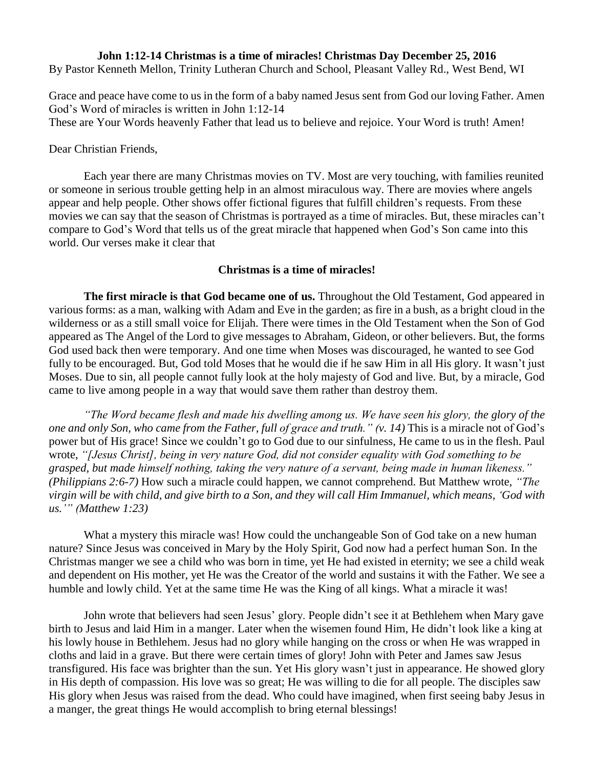## **John 1:12-14 Christmas is a time of miracles! Christmas Day December 25, 2016** By Pastor Kenneth Mellon, Trinity Lutheran Church and School, Pleasant Valley Rd., West Bend, WI

Grace and peace have come to us in the form of a baby named Jesus sent from God our loving Father. Amen God's Word of miracles is written in John 1:12-14 These are Your Words heavenly Father that lead us to believe and rejoice. Your Word is truth! Amen!

Dear Christian Friends,

Each year there are many Christmas movies on TV. Most are very touching, with families reunited or someone in serious trouble getting help in an almost miraculous way. There are movies where angels appear and help people. Other shows offer fictional figures that fulfill children's requests. From these movies we can say that the season of Christmas is portrayed as a time of miracles. But, these miracles can't compare to God's Word that tells us of the great miracle that happened when God's Son came into this world. Our verses make it clear that

## **Christmas is a time of miracles!**

**The first miracle is that God became one of us.** Throughout the Old Testament, God appeared in various forms: as a man, walking with Adam and Eve in the garden; as fire in a bush, as a bright cloud in the wilderness or as a still small voice for Elijah. There were times in the Old Testament when the Son of God appeared as The Angel of the Lord to give messages to Abraham, Gideon, or other believers. But, the forms God used back then were temporary. And one time when Moses was discouraged, he wanted to see God fully to be encouraged. But, God told Moses that he would die if he saw Him in all His glory. It wasn't just Moses. Due to sin, all people cannot fully look at the holy majesty of God and live. But, by a miracle, God came to live among people in a way that would save them rather than destroy them.

*"The Word became flesh and made his dwelling among us. We have seen his glory, the glory of the one and only Son, who came from the Father, full of grace and truth." (v. 14)* This is a miracle not of God's power but of His grace! Since we couldn't go to God due to our sinfulness, He came to us in the flesh. Paul wrote, *"[Jesus Christ], being in very nature God, did not consider equality with God something to be grasped, but made himself nothing, taking the very nature of a servant, being made in human likeness." (Philippians 2:6-7)* How such a miracle could happen, we cannot comprehend. But Matthew wrote, *"The virgin will be with child, and give birth to a Son, and they will call Him Immanuel, which means, 'God with us.'" (Matthew 1:23)*

What a mystery this miracle was! How could the unchangeable Son of God take on a new human nature? Since Jesus was conceived in Mary by the Holy Spirit, God now had a perfect human Son. In the Christmas manger we see a child who was born in time, yet He had existed in eternity; we see a child weak and dependent on His mother, yet He was the Creator of the world and sustains it with the Father. We see a humble and lowly child. Yet at the same time He was the King of all kings. What a miracle it was!

John wrote that believers had seen Jesus' glory. People didn't see it at Bethlehem when Mary gave birth to Jesus and laid Him in a manger. Later when the wisemen found Him, He didn't look like a king at his lowly house in Bethlehem. Jesus had no glory while hanging on the cross or when He was wrapped in cloths and laid in a grave. But there were certain times of glory! John with Peter and James saw Jesus transfigured. His face was brighter than the sun. Yet His glory wasn't just in appearance. He showed glory in His depth of compassion. His love was so great; He was willing to die for all people. The disciples saw His glory when Jesus was raised from the dead. Who could have imagined, when first seeing baby Jesus in a manger, the great things He would accomplish to bring eternal blessings!